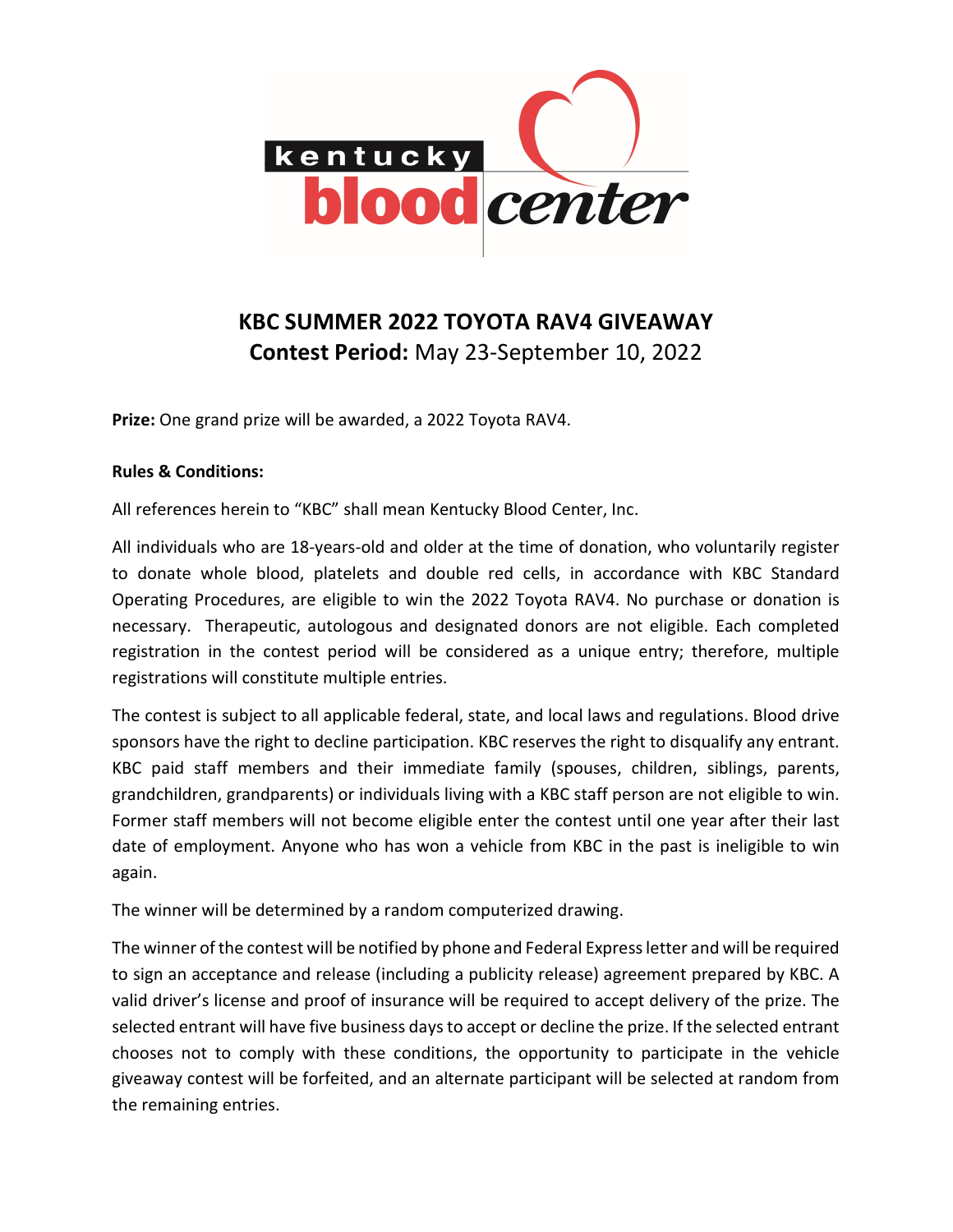

## KBC SUMMER 2022 TOYOTA RAV4 GIVEAWAY Contest Period: May 23-September 10, 2022

Prize: One grand prize will be awarded, a 2022 Toyota RAV4.

## Rules & Conditions:

All references herein to "KBC" shall mean Kentucky Blood Center, Inc.

All individuals who are 18-years-old and older at the time of donation, who voluntarily register to donate whole blood, platelets and double red cells, in accordance with KBC Standard Operating Procedures, are eligible to win the 2022 Toyota RAV4. No purchase or donation is necessary. Therapeutic, autologous and designated donors are not eligible. Each completed registration in the contest period will be considered as a unique entry; therefore, multiple registrations will constitute multiple entries.

The contest is subject to all applicable federal, state, and local laws and regulations. Blood drive sponsors have the right to decline participation. KBC reserves the right to disqualify any entrant. KBC paid staff members and their immediate family (spouses, children, siblings, parents, grandchildren, grandparents) or individuals living with a KBC staff person are not eligible to win. Former staff members will not become eligible enter the contest until one year after their last date of employment. Anyone who has won a vehicle from KBC in the past is ineligible to win again.

The winner will be determined by a random computerized drawing.

The winner of the contest will be notified by phone and Federal Express letter and will be required to sign an acceptance and release (including a publicity release) agreement prepared by KBC. A valid driver's license and proof of insurance will be required to accept delivery of the prize. The selected entrant will have five business days to accept or decline the prize. If the selected entrant chooses not to comply with these conditions, the opportunity to participate in the vehicle giveaway contest will be forfeited, and an alternate participant will be selected at random from the remaining entries.